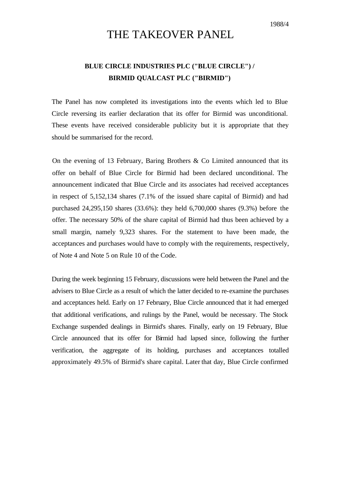## THE TAKEOVER PANEL

## **BLUE CIRCLE INDUSTRIES PLC ("BLUE CIRCLE") / BIRMID QUALCAST PLC ("BIRMID")**

The Panel has now completed its investigations into the events which led to Blue Circle reversing its earlier declaration that its offer for Birmid was unconditional. These events have received considerable publicity but it is appropriate that they should be summarised for the record.

On the evening of 13 February, Baring Brothers  $\&$  Co Limited announced that its offer on behalf of Blue Circle for Birmid had been declared unconditional. The announcement indicated that Blue Circle and its associates had received acceptances in respect of 5,152,134 shares (7.1% of the issued share capital of Birmid) and had purchased 24,295,150 shares (33.6%): they held 6,700,000 shares (9.3%) before the offer. The necessary 50% of the share capital of Birmid had thus been achieved by a small margin, namely 9,323 shares. For the statement to have been made, the acceptances and purchases would have to comply with the requirements, respectively, of Note 4 and Note 5 on Rule 10 of the Code.

During the week beginning 15 February, discussions were held between the Panel and the advisers to Blue Circle as a result of which the latter decided to re-examine the purchases and acceptances held. Early on 17 February, Blue Circle announced that it had emerged that additional verifications, and rulings by the Panel, would be necessary. The Stock Exchange suspended dealings in Birmid's shares. Finally, early on 19 February, Blue Circle announced that its offer for Birmid had lapsed since, following the further verification, the aggregate of its holding, purchases and acceptances totalled approximately 49.5% of Birmid's share capital. Later that day, Blue Circle confirmed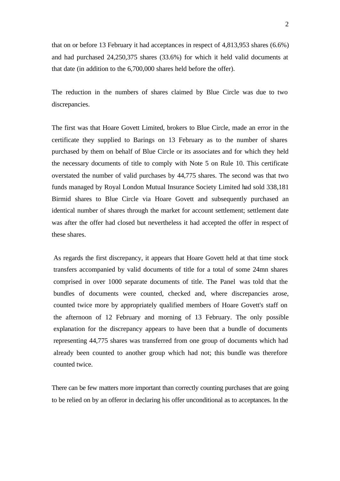2

that on or before 13 February it had acceptances in respect of 4,813,953 shares (6.6%) and had purchased 24,250,375 shares (33.6%) for which it held valid documents at that date (in addition to the 6,700,000 shares held before the offer).

The reduction in the numbers of shares claimed by Blue Circle was due to two discrepancies.

The first was that Hoare Govett Limited, brokers to Blue Circle, made an error in the certificate they supplied to Barings on 13 February as to the number of shares purchased by them on behalf of Blue Circle or its associates and for which they held the necessary documents of title to comply with Note 5 on Rule 10. This certificate overstated the number of valid purchases by 44,775 shares. The second was that two funds managed by Royal London Mutual Insurance Society Limited had sold 338,181 Birmid shares to Blue Circle via Hoare Govett and subsequently purchased an identical number of shares through the market for account settlement; settlement date was after the offer had closed but nevertheless it had accepted the offer in respect of these shares.

As regards the first discrepancy, it appears that Hoare Govett held at that time stock transfers accompanied by valid documents of title for a total of some 24mn shares comprised in over 1000 separate documents of title. The Panel was told that the bundles of documents were counted, checked and, where discrepancies arose, counted twice more by appropriately qualified members of Hoare Govett's staff on the afternoon of 12 February and morning of 13 February. The only possible explanation for the discrepancy appears to have been that a bundle of documents representing 44,775 shares was transferred from one group of documents which had already been counted to another group which had not; this bundle was therefore counted twice.

There can be few matters more important than correctly counting purchases that are going to be relied on by an offeror in declaring his offer unconditional as to acceptances. In the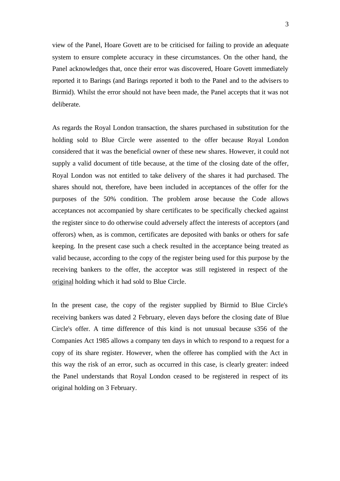view of the Panel, Hoare Govett are to be criticised for failing to provide an adequate system to ensure complete accuracy in these circumstances. On the other hand, the Panel acknowledges that, once their error was discovered, Hoare Govett immediately reported it to Barings (and Barings reported it both to the Panel and to the advisers to Birmid). Whilst the error should not have been made, the Panel accepts that it was not deliberate.

As regards the Royal London transaction, the shares purchased in substitution for the holding sold to Blue Circle were assented to the offer because Royal London considered that it was the beneficial owner of these new shares. However, it could not supply a valid document of title because, at the time of the closing date of the offer, Royal London was not entitled to take delivery of the shares it had purchased. The shares should not, therefore, have been included in acceptances of the offer for the purposes of the 50% condition. The problem arose because the Code allows acceptances not accompanied by share certificates to be specifically checked against the register since to do otherwise could adversely affect the interests of acceptors (and offerors) when, as is common, certificates are deposited with banks or others for safe keeping. In the present case such a check resulted in the acceptance being treated as valid because, according to the copy of the register being used for this purpose by the receiving bankers to the offer, the acceptor was still registered in respect of the original holding which it had sold to Blue Circle.

In the present case, the copy of the register supplied by Birmid to Blue Circle's receiving bankers was dated 2 February, eleven days before the closing date of Blue Circle's offer. A time difference of this kind is not unusual because s356 of the Companies Act 1985 allows a company ten days in which to respond to a request for a copy of its share register. However, when the offeree has complied with the Act in this way the risk of an error, such as occurred in this case, is clearly greater: indeed the Panel understands that Royal London ceased to be registered in respect of its original holding on 3 February.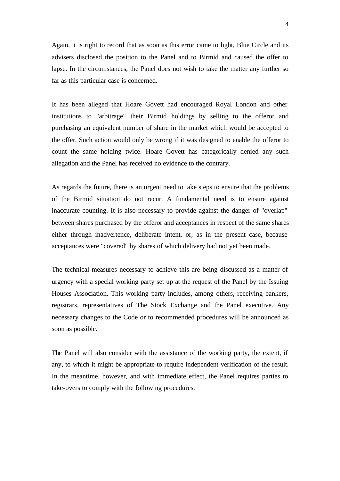Again, it is right to record that as soon as this error came to light, Blue Circle and its advisers disclosed the position to the Panel and to Birmid and caused the offer to lapse. In the circumstances, the Panel does not wish to take the matter any further so far as this particular case is concerned.

It has been alleged that Hoare Govett had encouraged Royal London and other institutions to "arbitrage" their Birmid holdings by selling to the offeror and purchasing an equivalent number of share in the market which would be accepted to the offer. Such action would only be wrong if it was designed to enable the offeror to count the same holding twice. Hoare Govett has categorically denied any such allegation and the Panel has received no evidence to the contrary.

As regards the future, there is an urgent need to take steps to ensure that the problems of the Birmid situation do not recur. A fundamental need is to ensure against inaccurate counting. It is also necessary to provide against the danger of "overlap" between shares purchased by the offeror and acceptances in respect of the same shares either through inadvertence, deliberate intent, or, as in the present case, because acceptances were "covered" by shares of which delivery had not yet been made.

The technical measures necessary to achieve this are being discussed as a matter of urgency with a special working party set up at the request of the Panel by the Issuing Houses Association. This working party includes, among others, receiving bankers, registrars, representatives of The Stock Exchange and the Panel executive. Any necessary changes to the Code or to recommended procedures will be announced as soon as possible.

The Panel will also consider with the assistance of the working party, the extent, if any, to which it might be appropriate to require independent verification of the result. In the meantime, however, and with immediate effect, the Panel requires parties to take-overs to comply with the following procedures.